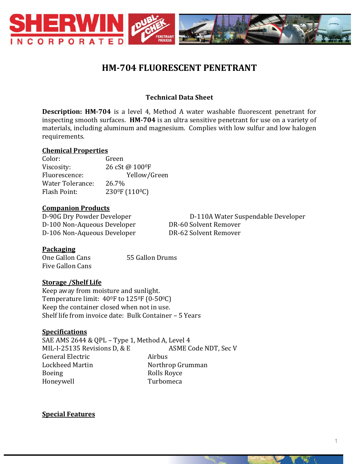

# **HM-704 FLUORESCENT PENETRANT**

## **Technical Data Sheet**

**Description: HM-704** is a level 4, Method A water washable fluorescent penetrant for inspecting smooth surfaces. **HM-704** is an ultra sensitive penetrant for use on a variety of materials, including aluminum and magnesium. Complies with low sulfur and low halogen requirements.

#### **Chemical Properties**

Color: Green Viscosity: 26 cSt @ 100 <sup>o</sup>F Fluorescence: Yellow/Green Water Tolerance: 26.7% Flash Point: 230<sup>0</sup>F (110<sup>0</sup>C)

#### **Companion Products**

D-100 Non-Aqueous Developer DR-60 Solvent Remover D-106 Non-Aqueous Developer DR-62 Solvent Remover

D-90G Dry Powder Developer D-110A Water Suspendable Developer

### **Packaging**

One Gallon Cans 55 Gallon Drums Five Gallon Cans

### **Storage /Shelf Life**

Keep away from moisture and sunlight. Temperature limit: 400F to 1250F (0-500C) Keep the container closed when not in use. Shelf life from invoice date: Bulk Container – 5 Years

### **Specifications**

SAE AMS 2644 & QPL – Type 1, Method A, Level 4 MIL-I-25135 Revisions D, & E ASME Code NDT, Sec V General Electric **Airbus** Lockheed Martin Northrop Grumman Boeing Rolls Royce Honeywell Turbomeca

**Special Features**